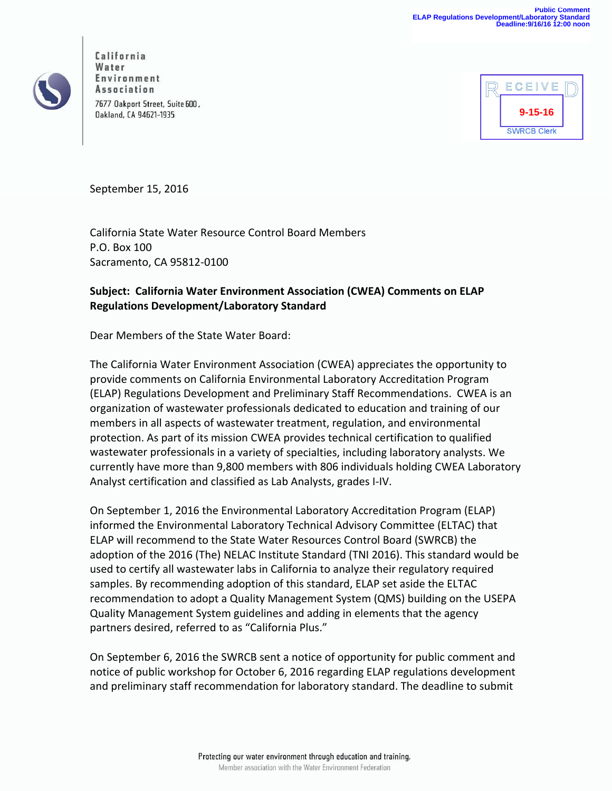

California Page **1** of **3** Environment Association 7677 Oakport Street, Suite 600, **Oakland, CA 94621-1935** 



September 15, 2016

California State Water Resource Control Board Members P.O. Box 100 Sacramento, CA 95812‐0100

## **Subject: California Water Environment Association (CWEA) Comments on ELAP Regulations Development/Laboratory Standard**

Dear Members of the State Water Board:

The California Water Environment Association (CWEA) appreciates the opportunity to provide comments on California Environmental Laboratory Accreditation Program (ELAP) Regulations Development and Preliminary Staff Recommendations. CWEA is an organization of wastewater professionals dedicated to education and training of our members in all aspects of wastewater treatment, regulation, and environmental protection. As part of its mission CWEA provides technical certification to qualified wastewater professionals in a variety of specialties, including laboratory analysts. We currently have more than 9,800 members with 806 individuals holding CWEA Laboratory Analyst certification and classified as Lab Analysts, grades I‐IV.

On September 1, 2016 the Environmental Laboratory Accreditation Program (ELAP) informed the Environmental Laboratory Technical Advisory Committee (ELTAC) that ELAP will recommend to the State Water Resources Control Board (SWRCB) the adoption of the 2016 (The) NELAC Institute Standard (TNI 2016). This standard would be used to certify all wastewater labs in California to analyze their regulatory required samples. By recommending adoption of this standard, ELAP set aside the ELTAC recommendation to adopt a Quality Management System (QMS) building on the USEPA Quality Management System guidelines and adding in elements that the agency partners desired, referred to as "California Plus."

On September 6, 2016 the SWRCB sent a notice of opportunity for public comment and notice of public workshop for October 6, 2016 regarding ELAP regulations development and preliminary staff recommendation for laboratory standard. The deadline to submit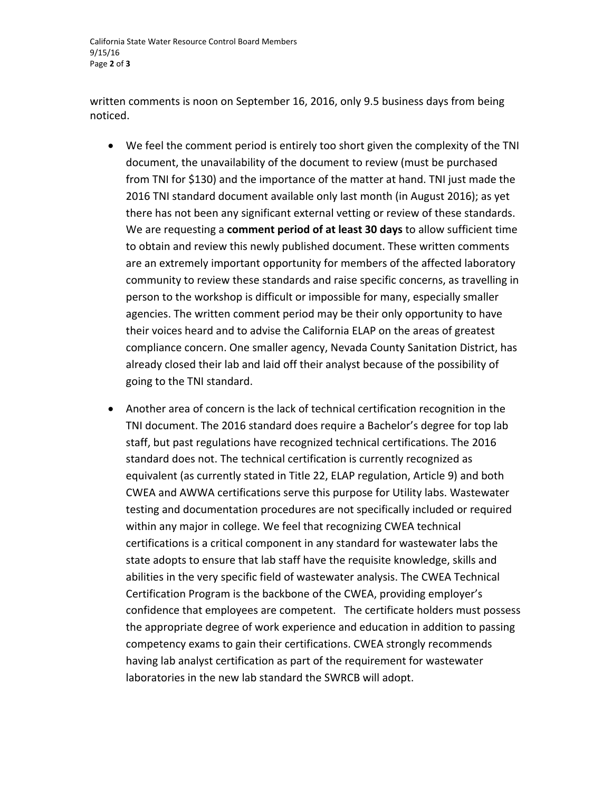California State Water Resource Control Board Members 9/15/16 Page **2** of **3**

written comments is noon on September 16, 2016, only 9.5 business days from being noticed.

- We feel the comment period is entirely too short given the complexity of the TNI document, the unavailability of the document to review (must be purchased from TNI for \$130) and the importance of the matter at hand. TNI just made the 2016 TNI standard document available only last month (in August 2016); as yet there has not been any significant external vetting or review of these standards. We are requesting a **comment period of at least 30 days** to allow sufficient time to obtain and review this newly published document. These written comments are an extremely important opportunity for members of the affected laboratory community to review these standards and raise specific concerns, as travelling in person to the workshop is difficult or impossible for many, especially smaller agencies. The written comment period may be their only opportunity to have their voices heard and to advise the California ELAP on the areas of greatest compliance concern. One smaller agency, Nevada County Sanitation District, has already closed their lab and laid off their analyst because of the possibility of going to the TNI standard.
- Another area of concern is the lack of technical certification recognition in the TNI document. The 2016 standard does require a Bachelor's degree for top lab staff, but past regulations have recognized technical certifications. The 2016 standard does not. The technical certification is currently recognized as equivalent (as currently stated in Title 22, ELAP regulation, Article 9) and both CWEA and AWWA certifications serve this purpose for Utility labs. Wastewater testing and documentation procedures are not specifically included or required within any major in college. We feel that recognizing CWEA technical certifications is a critical component in any standard for wastewater labs the state adopts to ensure that lab staff have the requisite knowledge, skills and abilities in the very specific field of wastewater analysis. The CWEA Technical Certification Program is the backbone of the CWEA, providing employer's confidence that employees are competent. The certificate holders must possess the appropriate degree of work experience and education in addition to passing competency exams to gain their certifications. CWEA strongly recommends having lab analyst certification as part of the requirement for wastewater laboratories in the new lab standard the SWRCB will adopt.